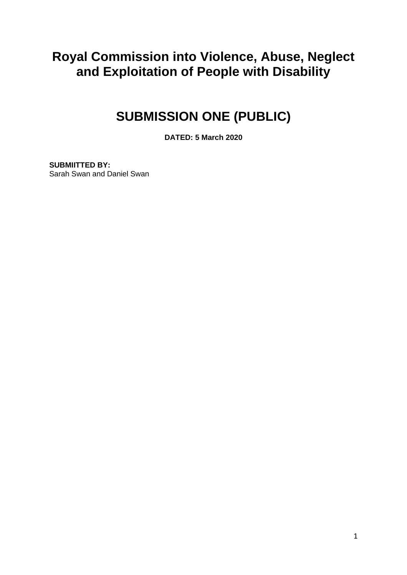## **Royal Commission into Violence, Abuse, Neglect and Exploitation of People with Disability**

# **SUBMISSION ONE (PUBLIC)**

**DATED: 5 March 2020**

**SUBMIITTED BY:** Sarah Swan and Daniel Swan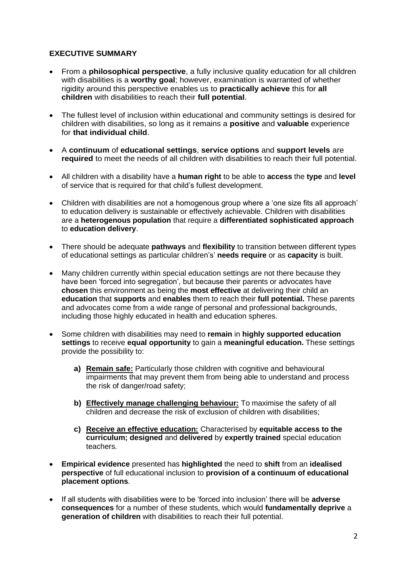### **EXECUTIVE SUMMARY**

- From a **philosophical perspective**, a fully inclusive quality education for all children with disabilities is a **worthy goal**; however, examination is warranted of whether rigidity around this perspective enables us to **practically achieve** this for **all children** with disabilities to reach their **full potential**.
- The fullest level of inclusion within educational and community settings is desired for children with disabilities, so long as it remains a **positive** and **valuable** experience for **that individual child**.
- A **continuum** of **educational settings**, **service options** and **support levels** are **required** to meet the needs of all children with disabilities to reach their full potential.
- All children with a disability have a **human right** to be able to **access** the **type** and **level**  of service that is required for that child's fullest development.
- Children with disabilities are not a homogenous group where a 'one size fits all approach' to education delivery is sustainable or effectively achievable. Children with disabilities are a **heterogenous population** that require a **differentiated sophisticated approach** to **education delivery**.
- There should be adequate **pathways** and **flexibility** to transition between different types of educational settings as particular children's' **needs require** or as **capacity** is built.
- Many children currently within special education settings are not there because they have been 'forced into segregation', but because their parents or advocates have **chosen** this environment as being the **most effective** at delivering their child an **education** that **supports** and **enables** them to reach their **full potential.** These parents and advocates come from a wide range of personal and professional backgrounds, including those highly educated in health and education spheres.
- Some children with disabilities may need to **remain** in **highly supported education settings** to receive **equal opportunity** to gain a **meaningful education.** These settings provide the possibility to:
	- **a) Remain safe:** Particularly those children with cognitive and behavioural impairments that may prevent them from being able to understand and process the risk of danger/road safety;
	- **b) Effectively manage challenging behaviour:** To maximise the safety of all children and decrease the risk of exclusion of children with disabilities;
	- **c) Receive an effective education:** Characterised by **equitable access to the curriculum; designed** and **delivered** by **expertly trained** special education teachers.
- **Empirical evidence** presented has **highlighted** the need to **shift** from an **idealised perspective** of full educational inclusion to **provision of a continuum of educational placement options**.
- If all students with disabilities were to be 'forced into inclusion' there will be **adverse consequences** for a number of these students, which would **fundamentally deprive** a **generation of children** with disabilities to reach their full potential.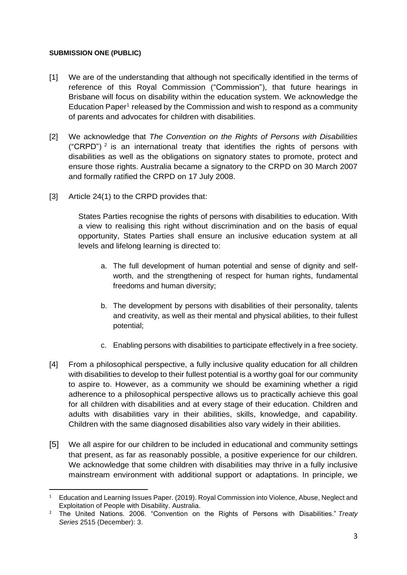#### **SUBMISSION ONE (PUBLIC)**

- [1] We are of the understanding that although not specifically identified in the terms of reference of this Royal Commission ("Commission"), that future hearings in Brisbane will focus on disability within the education system. We acknowledge the Education Paper<sup>1</sup> released by the Commission and wish to respond as a community of parents and advocates for children with disabilities.
- [2] We acknowledge that *The Convention on the Rights of Persons with Disabilities* ("CRPD")  $^2$  is an international treaty that identifies the rights of persons with disabilities as well as the obligations on signatory states to promote, protect and ensure those rights. Australia became a signatory to the CRPD on 30 March 2007 and formally ratified the CRPD on 17 July 2008.
- [3] Article 24(1) to the CRPD provides that:

States Parties recognise the rights of persons with disabilities to education. With a view to realising this right without discrimination and on the basis of equal opportunity, States Parties shall ensure an inclusive education system at all levels and lifelong learning is directed to:

- a. The full development of human potential and sense of dignity and selfworth, and the strengthening of respect for human rights, fundamental freedoms and human diversity;
- b. The development by persons with disabilities of their personality, talents and creativity, as well as their mental and physical abilities, to their fullest potential;
- c. Enabling persons with disabilities to participate effectively in a free society.
- [4] From a philosophical perspective, a fully inclusive quality education for all children with disabilities to develop to their fullest potential is a worthy goal for our community to aspire to. However, as a community we should be examining whether a rigid adherence to a philosophical perspective allows us to practically achieve this goal for all children with disabilities and at every stage of their education. Children and adults with disabilities vary in their abilities, skills, knowledge, and capability. Children with the same diagnosed disabilities also vary widely in their abilities.
- [5] We all aspire for our children to be included in educational and community settings that present, as far as reasonably possible, a positive experience for our children. We acknowledge that some children with disabilities may thrive in a fully inclusive mainstream environment with additional support or adaptations. In principle, we

<sup>1</sup> Education and Learning Issues Paper. (2019). Royal Commission into Violence, Abuse, Neglect and Exploitation of People with Disability. Australia.

<sup>2</sup> The United Nations. 2006. "Convention on the Rights of Persons with Disabilities." *Treaty Series* 2515 (December): 3.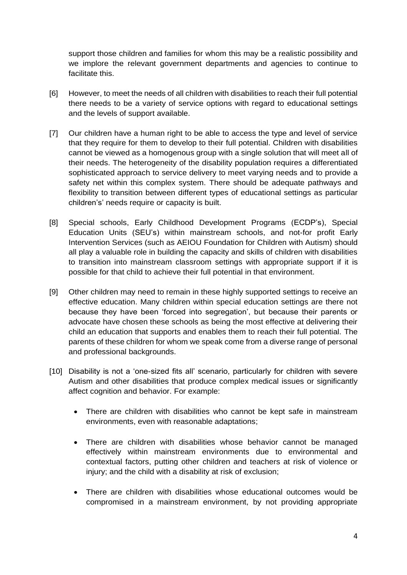support those children and families for whom this may be a realistic possibility and we implore the relevant government departments and agencies to continue to facilitate this.

- [6] However, to meet the needs of all children with disabilities to reach their full potential there needs to be a variety of service options with regard to educational settings and the levels of support available.
- [7] Our children have a human right to be able to access the type and level of service that they require for them to develop to their full potential. Children with disabilities cannot be viewed as a homogenous group with a single solution that will meet all of their needs. The heterogeneity of the disability population requires a differentiated sophisticated approach to service delivery to meet varying needs and to provide a safety net within this complex system. There should be adequate pathways and flexibility to transition between different types of educational settings as particular children's' needs require or capacity is built.
- [8] Special schools, Early Childhood Development Programs (ECDP's), Special Education Units (SEU's) within mainstream schools, and not-for profit Early Intervention Services (such as AEIOU Foundation for Children with Autism) should all play a valuable role in building the capacity and skills of children with disabilities to transition into mainstream classroom settings with appropriate support if it is possible for that child to achieve their full potential in that environment.
- [9] Other children may need to remain in these highly supported settings to receive an effective education. Many children within special education settings are there not because they have been 'forced into segregation', but because their parents or advocate have chosen these schools as being the most effective at delivering their child an education that supports and enables them to reach their full potential. The parents of these children for whom we speak come from a diverse range of personal and professional backgrounds.
- [10] Disability is not a 'one-sized fits all' scenario, particularly for children with severe Autism and other disabilities that produce complex medical issues or significantly affect cognition and behavior. For example:
	- There are children with disabilities who cannot be kept safe in mainstream environments, even with reasonable adaptations;
	- There are children with disabilities whose behavior cannot be managed effectively within mainstream environments due to environmental and contextual factors, putting other children and teachers at risk of violence or injury; and the child with a disability at risk of exclusion;
	- There are children with disabilities whose educational outcomes would be compromised in a mainstream environment, by not providing appropriate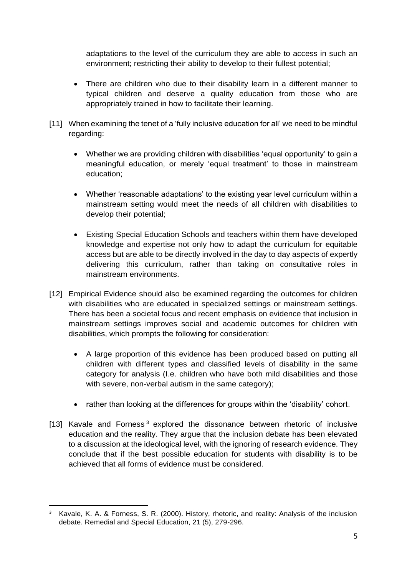adaptations to the level of the curriculum they are able to access in such an environment; restricting their ability to develop to their fullest potential;

- There are children who due to their disability learn in a different manner to typical children and deserve a quality education from those who are appropriately trained in how to facilitate their learning.
- [11] When examining the tenet of a 'fully inclusive education for all' we need to be mindful regarding:
	- Whether we are providing children with disabilities 'equal opportunity' to gain a meaningful education, or merely 'equal treatment' to those in mainstream education;
	- Whether 'reasonable adaptations' to the existing year level curriculum within a mainstream setting would meet the needs of all children with disabilities to develop their potential;
	- Existing Special Education Schools and teachers within them have developed knowledge and expertise not only how to adapt the curriculum for equitable access but are able to be directly involved in the day to day aspects of expertly delivering this curriculum, rather than taking on consultative roles in mainstream environments.
- [12] Empirical Evidence should also be examined regarding the outcomes for children with disabilities who are educated in specialized settings or mainstream settings. There has been a societal focus and recent emphasis on evidence that inclusion in mainstream settings improves social and academic outcomes for children with disabilities, which prompts the following for consideration:
	- A large proportion of this evidence has been produced based on putting all children with different types and classified levels of disability in the same category for analysis (I.e. children who have both mild disabilities and those with severe, non-verbal autism in the same category);
	- rather than looking at the differences for groups within the 'disability' cohort.
- [13] Kavale and Forness<sup>3</sup> explored the dissonance between rhetoric of inclusive education and the reality. They argue that the inclusion debate has been elevated to a discussion at the ideological level, with the ignoring of research evidence. They conclude that if the best possible education for students with disability is to be achieved that all forms of evidence must be considered.

<sup>&</sup>lt;sup>3</sup> Kavale, K. A. & Forness, S. R. (2000). History, rhetoric, and reality: Analysis of the inclusion debate. Remedial and Special Education, 21 (5), 279-296.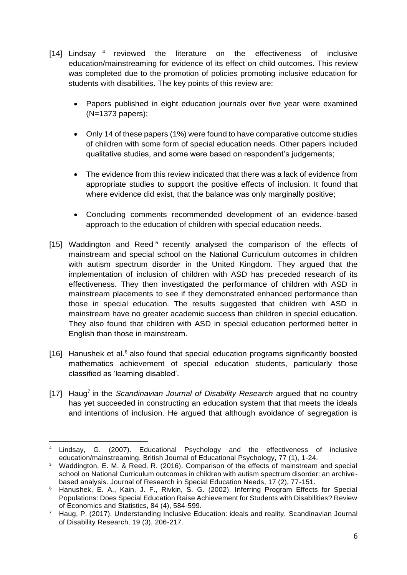- [14] Lindsay  $4$  reviewed the literature on the effectiveness of inclusive education/mainstreaming for evidence of its effect on child outcomes. This review was completed due to the promotion of policies promoting inclusive education for students with disabilities. The key points of this review are:
	- Papers published in eight education journals over five year were examined (N=1373 papers);
	- Only 14 of these papers (1%) were found to have comparative outcome studies of children with some form of special education needs. Other papers included qualitative studies, and some were based on respondent's judgements;
	- The evidence from this review indicated that there was a lack of evidence from appropriate studies to support the positive effects of inclusion. It found that where evidence did exist, that the balance was only marginally positive;
	- Concluding comments recommended development of an evidence-based approach to the education of children with special education needs.
- [15] Waddington and Reed<sup>5</sup> recently analysed the comparison of the effects of mainstream and special school on the National Curriculum outcomes in children with autism spectrum disorder in the United Kingdom. They argued that the implementation of inclusion of children with ASD has preceded research of its effectiveness. They then investigated the performance of children with ASD in mainstream placements to see if they demonstrated enhanced performance than those in special education. The results suggested that children with ASD in mainstream have no greater academic success than children in special education. They also found that children with ASD in special education performed better in English than those in mainstream.
- [16] Hanushek et al.<sup>6</sup> also found that special education programs significantly boosted mathematics achievement of special education students, particularly those classified as 'learning disabled'.
- [17] Haug<sup>7</sup> in the *Scandinavian Journal of Disability Research* argued that no country has yet succeeded in constructing an education system that that meets the ideals and intentions of inclusion. He argued that although avoidance of segregation is

Lindsay, G. (2007). Educational Psychology and the effectiveness of inclusive education/mainstreaming. British Journal of Educational Psychology, 77 (1), 1-24.

<sup>5</sup> Waddington, E. M. & Reed, R. (2016). Comparison of the effects of mainstream and special school on National Curriculum outcomes in children with autism spectrum disorder: an archivebased analysis. Journal of Research in Special Education Needs, 17 (2), 77-151.

<sup>6</sup> Hanushek, E. A., Kain, J. F., Rivkin, S. G. (2002). Inferring Program Effects for Special Populations: Does Special Education Raise Achievement for Students with Disabilities? Review of Economics and Statistics, 84 (4), 584-599.

<sup>7</sup> Haug, P. (2017). Understanding Inclusive Education: ideals and reality. Scandinavian Journal of Disability Research, 19 (3), 206-217.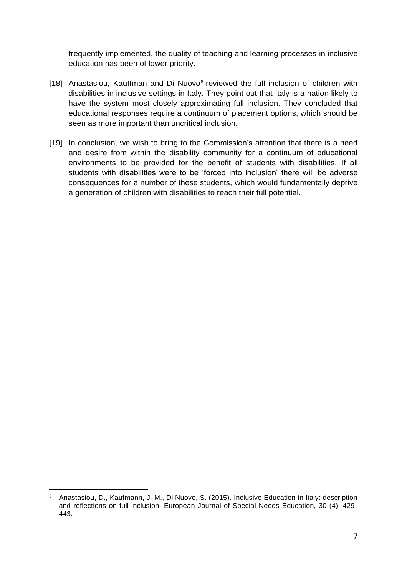frequently implemented, the quality of teaching and learning processes in inclusive education has been of lower priority.

- [18] Anastasiou, Kauffman and Di Nuovo<sup>8</sup> reviewed the full inclusion of children with disabilities in inclusive settings in Italy. They point out that Italy is a nation likely to have the system most closely approximating full inclusion. They concluded that educational responses require a continuum of placement options, which should be seen as more important than uncritical inclusion.
- [19] In conclusion, we wish to bring to the Commission's attention that there is a need and desire from within the disability community for a continuum of educational environments to be provided for the benefit of students with disabilities. If all students with disabilities were to be 'forced into inclusion' there will be adverse consequences for a number of these students, which would fundamentally deprive a generation of children with disabilities to reach their full potential.

<sup>8</sup> Anastasiou, D., Kaufmann, J. M., Di Nuovo, S. (2015). Inclusive Education in Italy: description and reflections on full inclusion. European Journal of Special Needs Education, 30 (4), 429- 443.